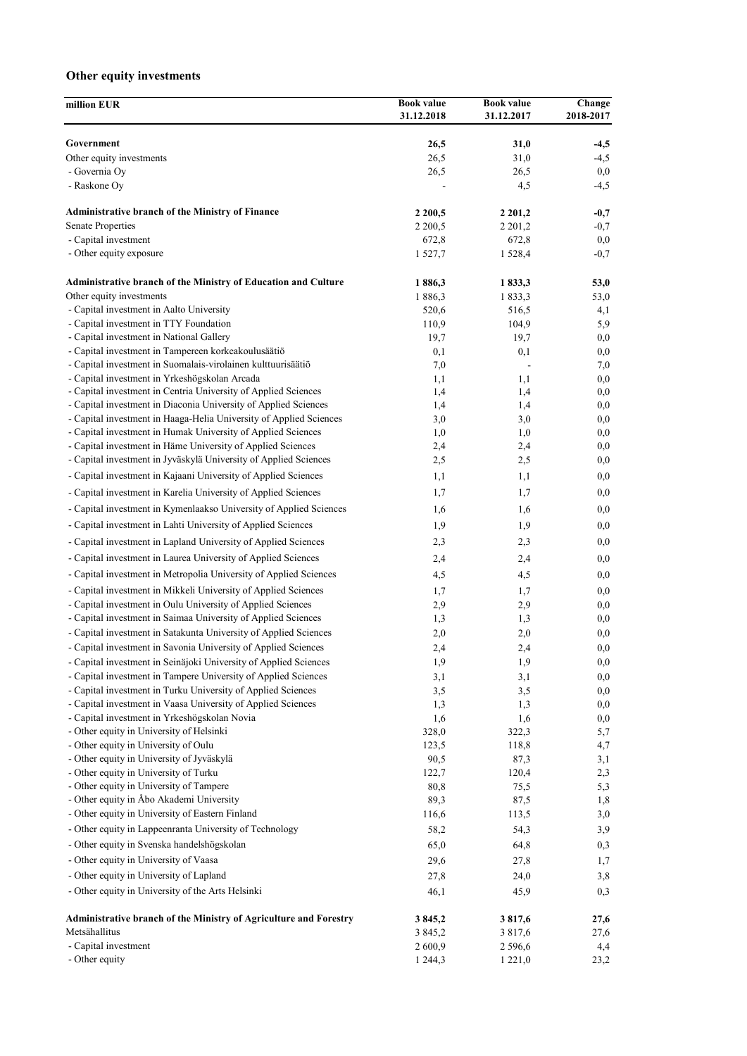## **Other equity investments**

| million EUR                                                                                                                       | <b>Book value</b> | <b>Book value</b>               | Change     |
|-----------------------------------------------------------------------------------------------------------------------------------|-------------------|---------------------------------|------------|
|                                                                                                                                   | 31.12.2018        | 31.12.2017                      | 2018-2017  |
| Government                                                                                                                        | 26,5              | 31,0                            | $-4,5$     |
| Other equity investments                                                                                                          | 26,5              | 31,0                            | $-4,5$     |
| - Governia Oy                                                                                                                     | 26,5              | 26,5                            | $_{0,0}$   |
| - Raskone Oy                                                                                                                      |                   | 4,5                             | $-4,5$     |
| <b>Administrative branch of the Ministry of Finance</b>                                                                           | 2 2 0 0,5         | 2 2 0 1 , 2                     | $-0,7$     |
| <b>Senate Properties</b>                                                                                                          | 2 2 0 0 , 5       | 2 2 0 1 , 2                     | $-0,7$     |
| - Capital investment                                                                                                              | 672,8             | 672,8                           | 0,0        |
| - Other equity exposure                                                                                                           | 1 527,7           | 1 5 2 8 , 4                     | $-0,7$     |
| Administrative branch of the Ministry of Education and Culture                                                                    | 1886,3            | 1833,3                          | 53,0       |
| Other equity investments                                                                                                          | 1886,3            | 1833,3                          | 53,0       |
| - Capital investment in Aalto University                                                                                          | 520,6             | 516,5                           | 4,1        |
| - Capital investment in TTY Foundation                                                                                            | 110,9             | 104,9                           | 5,9        |
| - Capital investment in National Gallery                                                                                          | 19,7              | 19,7                            | $_{0,0}$   |
| - Capital investment in Tampereen korkeakoulusäätiö                                                                               | 0,1               | 0,1                             | 0,0        |
| - Capital investment in Suomalais-virolainen kulttuurisäätiö<br>- Capital investment in Yrkeshögskolan Arcada                     | 7,0<br>1,1        | $\overline{\phantom{a}}$<br>1,1 | 7,0<br>0,0 |
| - Capital investment in Centria University of Applied Sciences                                                                    | 1,4               | 1,4                             | 0,0        |
| - Capital investment in Diaconia University of Applied Sciences                                                                   | 1,4               | 1,4                             | 0,0        |
| - Capital investment in Haaga-Helia University of Applied Sciences                                                                | 3,0               | 3,0                             | 0,0        |
| - Capital investment in Humak University of Applied Sciences                                                                      | 1,0               | 1,0                             | $_{0,0}$   |
| - Capital investment in Häme University of Applied Sciences                                                                       | 2,4               | 2,4                             | 0,0        |
| - Capital investment in Jyväskylä University of Applied Sciences                                                                  | 2,5               | 2,5                             | 0,0        |
| - Capital investment in Kajaani University of Applied Sciences                                                                    | 1,1               | 1,1                             | 0,0        |
| - Capital investment in Karelia University of Applied Sciences                                                                    | 1,7               | 1,7                             | $_{0,0}$   |
| - Capital investment in Kymenlaakso University of Applied Sciences                                                                | 1,6               | 1,6                             | 0,0        |
| - Capital investment in Lahti University of Applied Sciences                                                                      | 1,9               | 1,9                             | 0,0        |
| - Capital investment in Lapland University of Applied Sciences                                                                    | 2,3               | 2,3                             | 0,0        |
| - Capital investment in Laurea University of Applied Sciences                                                                     |                   |                                 |            |
|                                                                                                                                   | 2,4               | 2,4                             | 0,0        |
| - Capital investment in Metropolia University of Applied Sciences                                                                 | 4,5               | 4,5                             | 0,0        |
| - Capital investment in Mikkeli University of Applied Sciences                                                                    | 1,7               | 1,7                             | 0,0        |
| - Capital investment in Oulu University of Applied Sciences                                                                       | 2,9               | 2,9                             | 0,0        |
| - Capital investment in Saimaa University of Applied Sciences<br>- Capital investment in Satakunta University of Applied Sciences | 1,3<br>2,0        | 1,3<br>2,0                      | 0,0<br>0,0 |
| - Capital investment in Savonia University of Applied Sciences                                                                    | 2,4               | 2,4                             | 0,0        |
| - Capital investment in Seinäjoki University of Applied Sciences                                                                  | 1,9               | 1,9                             | $_{0,0}$   |
| - Capital investment in Tampere University of Applied Sciences                                                                    | 3,1               | 3,1                             | $_{0,0}$   |
| - Capital investment in Turku University of Applied Sciences                                                                      | 3,5               | 3,5                             | 0,0        |
| - Capital investment in Vaasa University of Applied Sciences                                                                      | 1,3               | 1,3                             | 0,0        |
| - Capital investment in Yrkeshögskolan Novia                                                                                      | 1,6               | 1,6                             | 0,0        |
| - Other equity in University of Helsinki                                                                                          | 328,0             | 322,3                           | 5,7        |
| - Other equity in University of Oulu                                                                                              | 123,5             | 118,8                           | 4,7        |
| - Other equity in University of Jyväskylä                                                                                         | 90,5              | 87,3                            | 3,1        |
| - Other equity in University of Turku                                                                                             | 122,7             | 120,4                           | 2,3        |
| - Other equity in University of Tampere                                                                                           | 80,8              | 75,5                            | 5,3        |
| - Other equity in Åbo Akademi University                                                                                          | 89,3              | 87,5                            | 1,8        |
| - Other equity in University of Eastern Finland                                                                                   | 116,6             | 113,5                           | 3,0        |
| - Other equity in Lappeenranta University of Technology                                                                           | 58,2              | 54,3                            | 3,9        |
| - Other equity in Svenska handelshögskolan                                                                                        | 65,0              | 64,8                            | 0,3        |
| - Other equity in University of Vaasa                                                                                             | 29,6              | 27,8                            | 1,7        |
| - Other equity in University of Lapland                                                                                           | 27,8              | 24,0                            | 3,8        |
| - Other equity in University of the Arts Helsinki                                                                                 | 46,1              | 45,9                            | 0,3        |
| Administrative branch of the Ministry of Agriculture and Forestry                                                                 | 3 8 4 5 , 2       | 3817,6                          | 27,6       |
| Metsähallitus                                                                                                                     | 3 8 4 5 , 2       | 3 817,6                         | 27,6       |
| - Capital investment                                                                                                              | 2 600,9           | 2 5 9 6 , 6                     | 4,4        |
| - Other equity                                                                                                                    | 1 2 4 4 , 3       | 1 2 2 1 , 0                     | 23,2       |